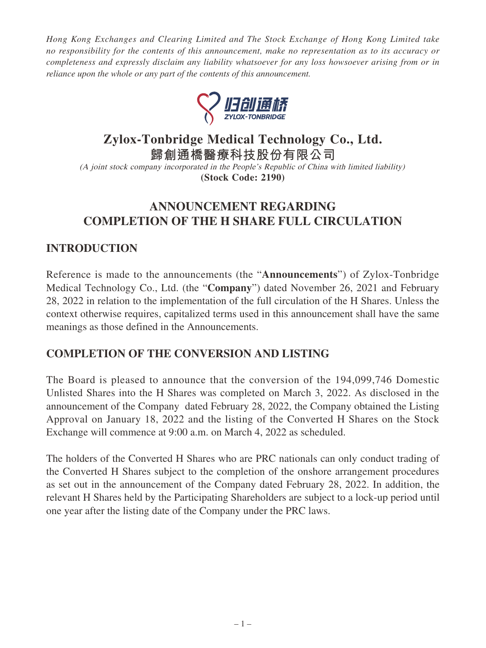*Hong Kong Exchanges and Clearing Limited and The Stock Exchange of Hong Kong Limited take no responsibility for the contents of this announcement, make no representation as to its accuracy or completeness and expressly disclaim any liability whatsoever for any loss howsoever arising from or in reliance upon the whole or any part of the contents of this announcement.*



# **Zylox-Tonbridge Medical Technology Co., Ltd.**

**歸創通橋醫療科技股份有限公司**

(A joint stock company incorporated in the People's Republic of China with limited liability) **(Stock Code: 2190)**

## **ANNOUNCEMENT REGARDING COMPLETION OF THE H SHARE FULL CIRCULATION**

### **INTRODUCTION**

Reference is made to the announcements (the "**Announcements**") of Zylox-Tonbridge Medical Technology Co., Ltd. (the "**Company**") dated November 26, 2021 and February 28, 2022 in relation to the implementation of the full circulation of the H Shares. Unless the context otherwise requires, capitalized terms used in this announcement shall have the same meanings as those defined in the Announcements.

### **COMPLETION OF THE CONVERSION AND LISTING**

The Board is pleased to announce that the conversion of the 194,099,746 Domestic Unlisted Shares into the H Shares was completed on March 3, 2022. As disclosed in the announcement of the Company dated February 28, 2022, the Company obtained the Listing Approval on January 18, 2022 and the listing of the Converted H Shares on the Stock Exchange will commence at 9:00 a.m. on March 4, 2022 as scheduled.

The holders of the Converted H Shares who are PRC nationals can only conduct trading of the Converted H Shares subject to the completion of the onshore arrangement procedures as set out in the announcement of the Company dated February 28, 2022. In addition, the relevant H Shares held by the Participating Shareholders are subject to a lock-up period until one year after the listing date of the Company under the PRC laws.